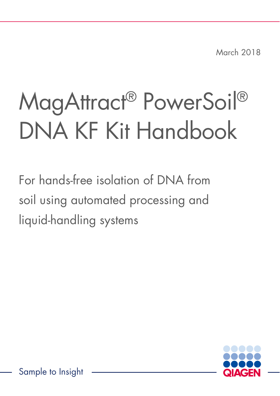March 2018

# MagAttract® PowerSoil® DNA KF Kit Handbook

For hands-free isolation of DNA from soil using automated processing and liquid-handling systems

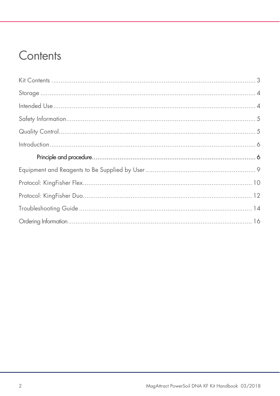### Contents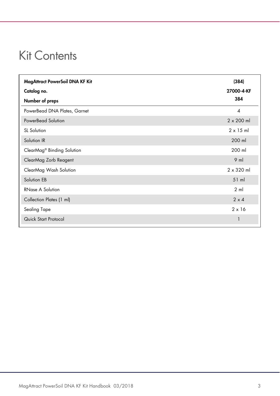### Kit Contents

| MagAttract PowerSoil DNA KF Kit        | (384)             |
|----------------------------------------|-------------------|
| Catalog no.                            | 27000-4-KF        |
| Number of preps                        | 384               |
| PowerBead DNA Plates, Garnet           | $\overline{4}$    |
| PowerBead Solution                     | $2 \times 200$ ml |
| SL Solution                            | $2 \times 15$ ml  |
| Solution IR                            | 200 ml            |
| ClearMag <sup>®</sup> Binding Solution | 200 ml            |
| ClearMag Zorb Reagent                  | $9$ m             |
| ClearMag Wash Solution                 | $2 \times 320$ ml |
| Solution EB                            | $51$ ml           |
| <b>RNase A Solution</b>                | $2 \text{ ml}$    |
| Collection Plates (1 ml)               | $2 \times 4$      |
| Sealing Tape                           | $2 \times 16$     |
| Quick Start Protocol                   | 1                 |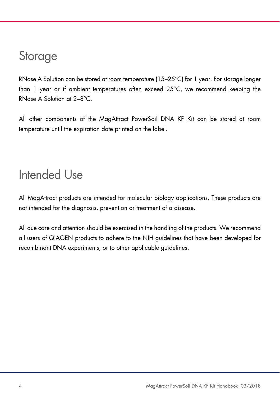#### **Storage**

RNase A Solution can be stored at room temperature (15–25°C) for 1 year. For storage longer than 1 year or if ambient temperatures often exceed 25°C, we recommend keeping the RNase A Solution at 2–8°C.

All other components of the MagAttract PowerSoil DNA KF Kit can be stored at room temperature until the expiration date printed on the label.

### Intended Use

All MagAttract products are intended for molecular biology applications. These products are not intended for the diagnosis, prevention or treatment of a disease.

All due care and attention should be exercised in the handling of the products. We recommend all users of QIAGEN products to adhere to the NIH guidelines that have been developed for recombinant DNA experiments, or to other applicable guidelines.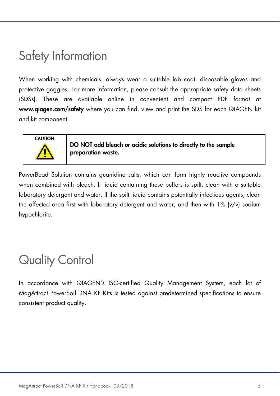### Safety Information

When working with chemicals, always wear a suitable lab coat, disposable gloves and protective goggles. For more information, please consult the appropriate safety data sheets (SDSs). These are available online in convenient and compact PDF format at www.qiagen.com/safety where you can find, view and print the SDS for each QIAGEN kit and kit component.



DO NOT add bleach or acidic solutions to directly to the sample preparation waste.

PowerBead Solution contains guanidine salts, which can form highly reactive compounds when combined with bleach. If liquid containing these buffers is spilt, clean with a suitable laboratory detergent and water. If the spilt liquid contains potentially infectious agents, clean the affected area first with laboratory detergent and water, and then with 1% (v/v) sodium hypochlorite.

# Quality Control

In accordance with QIAGEN's ISO-certified Quality Management System, each lot of MagAttract PowerSoil DNA KF Kits is tested against predetermined specifications to ensure consistent product quality.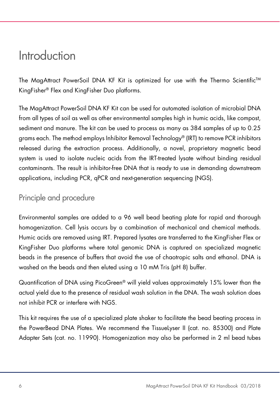#### Introduction

The MagAttract PowerSoil DNA KF Kit is optimized for use with the Thermo Scientific™ KingFisher® Flex and KingFisher Duo platforms.

The MagAttract PowerSoil DNA KF Kit can be used for automated isolation of microbial DNA from all types of soil as well as other environmental samples high in humic acids, like compost, sediment and manure. The kit can be used to process as many as 384 samples of up to 0.25 grams each. The method employs Inhibitor Removal Technology® (IRT) to remove PCR inhibitors released during the extraction process. Additionally, a novel, proprietary magnetic bead system is used to isolate nucleic acids from the IRT-treated lysate without binding residual contaminants. The result is inhibitor-free DNA that is ready to use in demanding downstream applications, including PCR, qPCR and next-generation sequencing (NGS).

#### Principle and procedure

Environmental samples are added to a 96 well bead beating plate for rapid and thorough homogenization. Cell lysis occurs by a combination of mechanical and chemical methods. Humic acids are removed using IRT. Prepared lysates are transferred to the KingFisher Flex or KingFisher Duo platforms where total genomic DNA is captured on specialized magnetic beads in the presence of buffers that avoid the use of chaotropic salts and ethanol. DNA is washed on the beads and then eluted using a 10 mM Tris (pH 8) buffer.

Quantification of DNA using PicoGreen® will yield values approximately 15% lower than the actual yield due to the presence of residual wash solution in the DNA. The wash solution does not inhibit PCR or interfere with NGS.

This kit requires the use of a specialized plate shaker to facilitate the bead beating process in the PowerBead DNA Plates. We recommend the TissueLyser II (cat. no. 85300) and Plate Adapter Sets (cat. no. 11990). Homogenization may also be performed in 2 ml bead tubes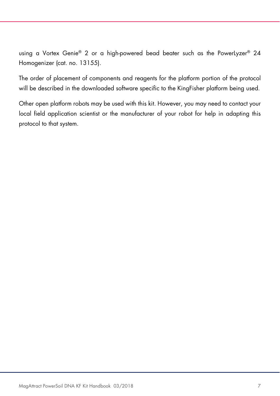using a Vortex Genie® 2 or a high-powered bead beater such as the PowerLyzer® 24 Homogenizer (cat. no. 13155).

The order of placement of components and reagents for the platform portion of the protocol will be described in the downloaded software specific to the KingFisher platform being used.

Other open platform robots may be used with this kit. However, you may need to contact your local field application scientist or the manufacturer of your robot for help in adapting this protocol to that system.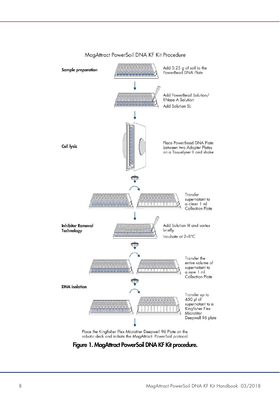

#### MagAttract PowerSoil DNA KF Kit Procedure

#### Figure 1. MagAttract PowerSoil DNA KF Kit procedure.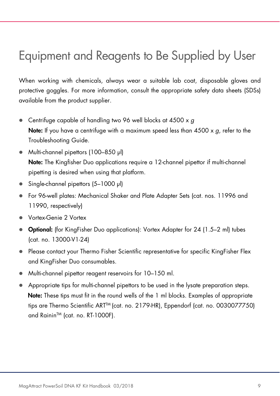# Equipment and Reagents to Be Supplied by User

When working with chemicals, always wear a suitable lab coat, disposable gloves and protective goggles. For more information, consult the appropriate safety data sheets (SDSs) available from the product supplier.

- Centrifuge capable of handling two 96 well blocks at 4500 x g **Note:** If you have a centrifuge with a maximum speed less than  $4500 \times g$ , refer to the Troubleshooting Guide.
- Multi-channel pipettors (100–850 μl) Note: The Kingfisher Duo applications require a 12-channel pipettor if multi-channel pipetting is desired when using that platform.
- Single-channel pipettors (5–1000 μl)
- For 96-well plates: Mechanical Shaker and Plate Adapter Sets (cat. nos. 11996 and 11990, respectively)
- Vortex-Genie 2 Vortex
- Optional: (for KingFisher Duo applications): Vortex Adapter for 24 (1.5–2 ml) tubes (cat. no. 13000-V1-24)
- Please contact your Thermo Fisher Scientific representative for specific KingFisher Flex and KingFisher Duo consumables.
- Multi-channel pipettor reagent reservoirs for 10–150 ml.
- Appropriate tips for multi-channel pipettors to be used in the lysate preparation steps. Note: These tips must fit in the round wells of the 1 ml blocks. Examples of appropriate tips are Thermo Scientific ART<sup>™</sup> (cat. no. 2179-HR), Eppendorf (cat. no. 0030077750) and Rainin™ (cat. no. RT-1000F).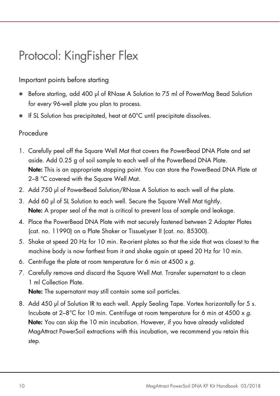## Protocol: KingFisher Flex

#### Important points before starting

- Before starting, add 400 µl of RNase A Solution to 75 ml of PowerMag Bead Solution for every 96-well plate you plan to process.
- If SL Solution has precipitated, heat at 60°C until precipitate dissolves.

#### Procedure

- 1. Carefully peel off the Square Well Mat that covers the PowerBead DNA Plate and set aside. Add 0.25 g of soil sample to each well of the PowerBead DNA Plate. Note: This is an appropriate stopping point. You can store the PowerBead DNA Plate at 2–8 °C covered with the Square Well Mat.
- 2. Add 750 µl of PowerBead Solution/RNase A Solution to each well of the plate.
- 3. Add 60 µl of SL Solution to each well. Secure the Square Well Mat tightly. Note: A proper seal of the mat is critical to prevent loss of sample and leakage.
- 4. Place the PowerBead DNA Plate with mat securely fastened between 2 Adapter Plates (cat. no. 11990) on a Plate Shaker or TissueLyser II (cat. no. 85300).
- 5. Shake at speed 20 Hz for 10 min. Re-orient plates so that the side that was closest to the machine body is now farthest from it and shake again at speed 20 Hz for 10 min.
- 6. Centrifuge the plate at room temperature for 6 min at  $4500 \times g$ .
- 7. Carefully remove and discard the Square Well Mat. Transfer supernatant to a clean 1 ml Collection Plate.

Note: The supernatant may still contain some soil particles.

8. Add 450 µl of Solution IR to each well. Apply Sealing Tape. Vortex horizontally for 5 s. Incubate at  $2-8^{\circ}$ C for 10 min. Centrifuge at room temperature for 6 min at 4500 x g. Note: You can skip the 10 min incubation. However, if you have already validated MagAttract PowerSoil extractions with this incubation, we recommend you retain this step.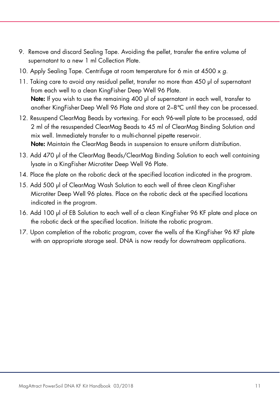- 9. Remove and discard Sealing Tape. Avoiding the pellet, transfer the entire volume of supernatant to a new 1 ml Collection Plate.
- 10. Apply Sealing Tape. Centrifuge at room temperature for 6 min at 4500 x g.
- 11. Taking care to avoid any residual pellet, transfer no more than 450 µl of supernatant from each well to a clean KingFisher Deep Well 96 Plate. Note: If you wish to use the remaining 400 µl of supernatant in each well, transfer to another KingFisher Deep Well 96 Plate and store at 2–8°C until they can be processed.
- 12. Resuspend ClearMag Beads by vortexing. For each 96-well plate to be processed, add 2 ml of the resuspended ClearMag Beads to 45 ml of ClearMag Binding Solution and mix well. Immediately transfer to a multi-channel pipette reservoir. Note: Maintain the ClearMag Beads in suspension to ensure uniform distribution.
- 13. Add 470 µl of the ClearMag Beads/ClearMag Binding Solution to each well containing lysate in a KingFisher Microtiter Deep Well 96 Plate.
- 14. Place the plate on the robotic deck at the specified location indicated in the program.
- 15. Add 500 µl of ClearMag Wash Solution to each well of three clean KingFisher Microtiter Deep Well 96 plates. Place on the robotic deck at the specified locations indicated in the program.
- 16. Add 100 µl of EB Solution to each well of a clean KingFisher 96 KF plate and place on the robotic deck at the specified location. Initiate the robotic program.
- 17. Upon completion of the robotic program, cover the wells of the KingFisher 96 KF plate with an appropriate storage seal. DNA is now ready for downstream applications.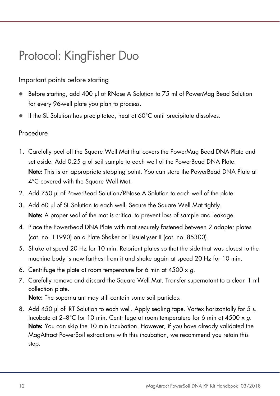### Protocol: KingFisher Duo

#### Important points before starting

- Before starting, add 400 µl of RNase A Solution to 75 ml of PowerMag Bead Solution for every 96-well plate you plan to process.
- If the SL Solution has precipitated, heat at 60°C until precipitate dissolves.

#### Procedure

- 1. Carefully peel off the Square Well Mat that covers the PowerMag Bead DNA Plate and set aside. Add 0.25 g of soil sample to each well of the PowerBead DNA Plate. Note: This is an appropriate stopping point. You can store the PowerBead DNA Plate at 4°C covered with the Square Well Mat.
- 2. Add 750 µl of PowerBead Solution/RNase A Solution to each well of the plate.
- 3. Add 60 µl of SL Solution to each well. Secure the Square Well Mat tightly. Note: A proper seal of the mat is critical to prevent loss of sample and leakage
- 4. Place the PowerBead DNA Plate with mat securely fastened between 2 adapter plates (cat. no. 11990) on a Plate Shaker or TissueLyser II (cat. no. 85300).
- 5. Shake at speed 20 Hz for 10 min. Re-orient plates so that the side that was closest to the machine body is now farthest from it and shake again at speed 20 Hz for 10 min.
- 6. Centrifuge the plate at room temperature for 6 min at  $4500 \times g$ .
- 7. Carefully remove and discard the Square Well Mat. Transfer supernatant to a clean 1 ml collection plate.

Note: The supernatant may still contain some soil particles.

8. Add 450 µl of IRT Solution to each well. Apply sealing tape. Vortex horizontally for 5 s. Incubate at  $2-8^{\circ}$ C for 10 min. Centrifuge at room temperature for 6 min at 4500 x g. **Note:** You can skip the 10 min incubation. However, if you have already validated the MagAttract PowerSoil extractions with this incubation, we recommend you retain this step.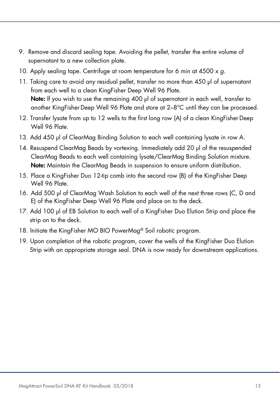- 9. Remove and discard sealing tape. Avoiding the pellet, transfer the entire volume of supernatant to a new collection plate.
- 10. Apply sealing tape. Centrifuge at room temperature for 6 min at  $4500 \times g$ .
- 11. Taking care to avoid any residual pellet, transfer no more than 450 µl of supernatant from each well to a clean KingFisher Deep Well 96 Plate. Note: If you wish to use the remaining 400 µl of supernatant in each well, transfer to another KingFisher Deep Well 96 Plate and store at 2–8°C until they can be processed.
- 12. Transfer lysate from up to 12 wells to the first long row (A) of a clean KingFisher Deep Well 96 Plate.
- 13. Add 450 µl of ClearMag Binding Solution to each well containing lysate in row A.
- 14. Resuspend ClearMag Beads by vortexing. Immediately add 20 µl of the resuspended ClearMag Beads to each well containing lysate/ClearMag Binding Solution mixture. Note: Maintain the ClearMag Beads in suspension to ensure uniform distribution.
- 15. Place a KingFisher Duo 12-tip comb into the second row (B) of the KingFisher Deep Well 96 Plate.
- 16. Add 500 µl of ClearMag Wash Solution to each well of the next three rows (C, D and E) of the KingFisher Deep Well 96 Plate and place on to the deck.
- 17. Add 100 µl of EB Solution to each well of a KingFisher Duo Elution Strip and place the strip on to the deck.
- 18. Initiate the KingFisher MO BIO PowerMag<sup>®</sup> Soil robotic program.
- 19. Upon completion of the robotic program, cover the wells of the KingFisher Duo Elution Strip with an appropriate storage seal. DNA is now ready for downstream applications.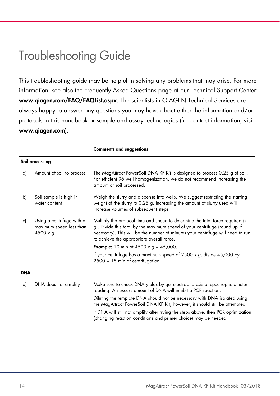### Troubleshooting Guide

This troubleshooting guide may be helpful in solving any problems that may arise. For more information, see also the Frequently Asked Questions page at our Technical Support Center: www.qiagen.com/FAQ/FAQList.aspx. The scientists in QIAGEN Technical Services are always happy to answer any questions you may have about either the information and/or protocols in this handbook or sample and assay technologies (for contact information, visit www.qiagen.com).

|     |                                                                         | <b>Comments and suggestions</b>                                                                                                                                                                                                                                                             |  |  |
|-----|-------------------------------------------------------------------------|---------------------------------------------------------------------------------------------------------------------------------------------------------------------------------------------------------------------------------------------------------------------------------------------|--|--|
|     | Soil processing                                                         |                                                                                                                                                                                                                                                                                             |  |  |
| a)  | Amount of soil to process                                               | The MagAttract PowerSoil DNA KF Kit is designed to process 0.25 g of soil.<br>For efficient 96 well homogenization, we do not recommend increasing the<br>amount of soil processed.                                                                                                         |  |  |
| b)  | Soil sample is high in<br>water content                                 | Weigh the slurry and dispense into wells. We suggest restricting the starting<br>weight of the slurry to 0.25 g. Increasing the amount of slurry used will<br>increase volumes of subsequent steps.                                                                                         |  |  |
| c)  | Using a centrifuge with a<br>maximum speed less than<br>$4500 \times g$ | Multiply the protocol time and speed to determine the total force required (x<br>g). Divide this total by the maximum speed of your centrifuge (round up if<br>necessary). This will be the number of minutes your centrifuge will need to run<br>to achieve the appropriate overall force. |  |  |
|     |                                                                         | <b>Example:</b> 10 min at 4500 x $q = 45,000$ .                                                                                                                                                                                                                                             |  |  |
|     |                                                                         | If your centrifuge has a maximum speed of $2500 \times g$ , divide $45,000$ by<br>$2500 = 18$ min of centrifugation.                                                                                                                                                                        |  |  |
| DNA |                                                                         |                                                                                                                                                                                                                                                                                             |  |  |
| a)  | DNA does not amplify                                                    | Make sure to check DNA yields by gel electrophoresis or spectrophotometer<br>reading. An excess amount of DNA will inhibit a PCR reaction.                                                                                                                                                  |  |  |
|     |                                                                         | Diluting the template DNA should not be necessary with DNA isolated using<br>the MagAttract PowerSoil DNA KF Kit; however, it should still be attempted.                                                                                                                                    |  |  |
|     |                                                                         | If DNA will still not amplify after trying the steps above, then PCR optimization<br>(changing reaction conditions and primer choice) may be needed.                                                                                                                                        |  |  |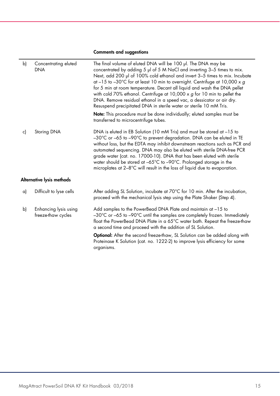#### Comments and suggestions

| b) | Concentrating eluted<br><b>DNA</b>          | The final volume of eluted DNA will be 100 µl. The DNA may be<br>concentrated by adding 5 µl of 5 M NaCl and inverting 3-5 times to mix.<br>Next, add 200 µl of 100% cold ethanol and invert 3-5 times to mix. Incubate<br>at $-15$ to $-30^{\circ}$ C for at least 10 min to overnight. Centrifuge at 10,000 x g<br>for 5 min at room temperature. Decant all liquid and wash the DNA pellet<br>with cold 70% ethanol. Centrifuge at 10,000 $\times$ g for 10 min to pellet the<br>DNA. Remove residual ethanol in a speed vac, a dessicator or air dry.<br>Resuspend precipitated DNA in sterile water or sterile 10 mM Tris.<br><b>Note:</b> This procedure must be done individually; eluted samples must be<br>transferred to microcentrifuge tubes. |  |  |  |
|----|---------------------------------------------|-----------------------------------------------------------------------------------------------------------------------------------------------------------------------------------------------------------------------------------------------------------------------------------------------------------------------------------------------------------------------------------------------------------------------------------------------------------------------------------------------------------------------------------------------------------------------------------------------------------------------------------------------------------------------------------------------------------------------------------------------------------|--|--|--|
| c) | Storing DNA                                 | DNA is eluted in EB Solution (10 mM Tris) and must be stored at -15 to<br>-30°C or -65 to -90°C to prevent degradation. DNA can be eluted in TE<br>without loss, but the EDTA may inhibit downstream reactions such as PCR and<br>automated sequencing. DNA may also be eluted with sterile DNA-free PCR<br>grade water (cat. no. 17000-10). DNA that has been eluted with sterile<br>water should be stored at -65°C to -90°C. Prolonged storage in the<br>microplates at 2-8°C will result in the loss of liquid due to evaporation.                                                                                                                                                                                                                    |  |  |  |
|    | Alternative lysis methods                   |                                                                                                                                                                                                                                                                                                                                                                                                                                                                                                                                                                                                                                                                                                                                                           |  |  |  |
| a) | Difficult to lyse cells                     | After adding SL Solution, incubate at 70°C for 10 min. After the incubation,<br>proceed with the mechanical lysis step using the Plate Shaker (Step 4).                                                                                                                                                                                                                                                                                                                                                                                                                                                                                                                                                                                                   |  |  |  |
| b) | Enhancing lysis using<br>freeze-thaw cycles | Add samples to the PowerBead DNA Plate and maintain at -15 to<br>-30°C or -65 to -90°C until the samples are completely frozen. Immediately<br>float the PowerBead DNA Plate in a 65°C water bath. Repeat the freeze-thaw<br>a second time and proceed with the addition of SL Solution.                                                                                                                                                                                                                                                                                                                                                                                                                                                                  |  |  |  |
|    |                                             | Optional: After the second freeze-thaw, SL Solution can be added along with<br>Proteinase K Solution (cat. no. 1222-2) to improve lysis efficiency for some<br>organisms.                                                                                                                                                                                                                                                                                                                                                                                                                                                                                                                                                                                 |  |  |  |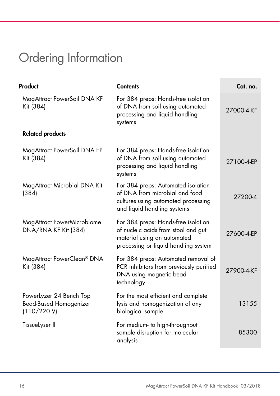# Ordering Information

| Product                                                                 | <b>Contents</b>                                                                                                                                   | Cat. no.   |
|-------------------------------------------------------------------------|---------------------------------------------------------------------------------------------------------------------------------------------------|------------|
| MagAttract PowerSoil DNA KF<br>Kit (384)                                | For 384 preps: Hands-free isolation<br>of DNA from soil using automated<br>processing and liquid handling<br>systems                              | 27000-4-KF |
| <b>Related products</b>                                                 |                                                                                                                                                   |            |
| MagAttract PowerSoil DNA EP<br>Kit (384)                                | For 384 preps: Hands-free isolation<br>of DNA from soil using automated<br>processing and liquid handling<br>systems                              | 27100-4-EP |
| MagAttract Microbial DNA Kit<br>(384)                                   | For 384 preps: Automated isolation<br>of DNA from microbial and food<br>cultures using automated processing<br>and liquid handling systems        | 27200-4    |
| MagAttract PowerMicrobiome<br>DNA/RNA KF Kit (384)                      | For 384 preps: Hands-free isolation<br>of nucleic acids from stool and gut<br>material using an automated<br>processing or liquid handling system | 27600-4-EP |
| MagAttract PowerClean® DNA<br>Kit (384)                                 | For 384 preps: Automated removal of<br>PCR inhibitors from previously purified<br>DNA using magnetic bead<br>technology                           | 27900-4-KF |
| PowerLyzer 24 Bench Top<br><b>Bead-Based Homogenizer</b><br>(110/220 V) | For the most efficient and complete<br>lysis and homogenization of any<br>biological sample                                                       | 13155      |
| TissueLyser II                                                          | For medium- to high-throughput<br>sample disruption for molecular<br>analysis                                                                     | 85300      |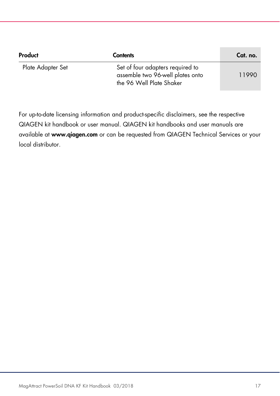| Product           | <b>Contents</b>                                                                                  | Cat. no. |
|-------------------|--------------------------------------------------------------------------------------------------|----------|
| Plate Adapter Set | Set of four adapters required to<br>assemble two 96-well plates onto<br>the 96 Well Plate Shaker | 11990    |

For up-to-date licensing information and product-specific disclaimers, see the respective QIAGEN kit handbook or user manual. QIAGEN kit handbooks and user manuals are available at www.qiagen.com or can be requested from QIAGEN Technical Services or your local distributor.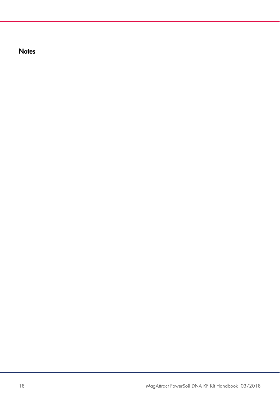**Notes**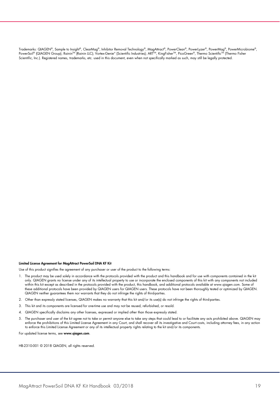Trademarks: QIAGEN®, Sample to Insight®, ClearMag®, Inhibitor Removal Technology®, MagAttract®, PowerClean®, PowerLyzer®, PowerMag®, PowerMicrobiome®, PowerSoil® (QIAGEN Group); Rainin™ (Rainin LLC); Vortex-Genie® (Scientific Industries); ART™, KingFisher™, PicoGreen®, Thermo Scientific™ (Thermo Fisher Scientific, Inc.). Registered names, trademarks, etc. used in this document, even when not specifically marked as such, may still be legally protected.

#### Limited License Agreement for MagAttract PowerSoil DNA KF Kit

Use of this product signifies the agreement of any purchaser or user of the product to the following terms:

- 1. The product may be used solely in accordance with the protocols provided with the product and this handbook and for use with components contained in the kit only. QIAGEN grants no license under any of its intellectual property to use or incorporate the enclosed components of this kit with any components not included within this kit except as described in the protocols provided with the product, this handbook, and additional protocols available at www.qiagen.com. Some of these additional protocols have been provided by QIAGEN users for QIAGEN users. These protocols have not been thoroughly tested or optimized by QIAGEN. QIAGEN neither guarantees them nor warrants that they do not infringe the rights of third-parties.
- 2. Other than expressly stated licenses, QIAGEN makes no warranty that this kit and/or its use(s) do not infringe the rights of third-parties.
- 3. This kit and its components are licensed for one-time use and may not be reused, refurbished, or resold.
- 4. QIAGEN specifically disclaims any other licenses, expressed or implied other than those expressly stated.
- 5. The purchaser and user of the kit agree not to take or permit anyone else to take any steps that could lead to or facilitate any acts prohibited above. QIAGEN may enforce the prohibitions of this Limited License Agreement in any Court, and shall recover all its investigative and Court costs, including attorney fees, in any action to enforce this Limited License Agreement or any of its intellectual property rights relating to the kit and/or its components.

For updated license terms, see www.qiagen.com.

HB-2310-001 © 2018 QIAGEN, all rights reserved.